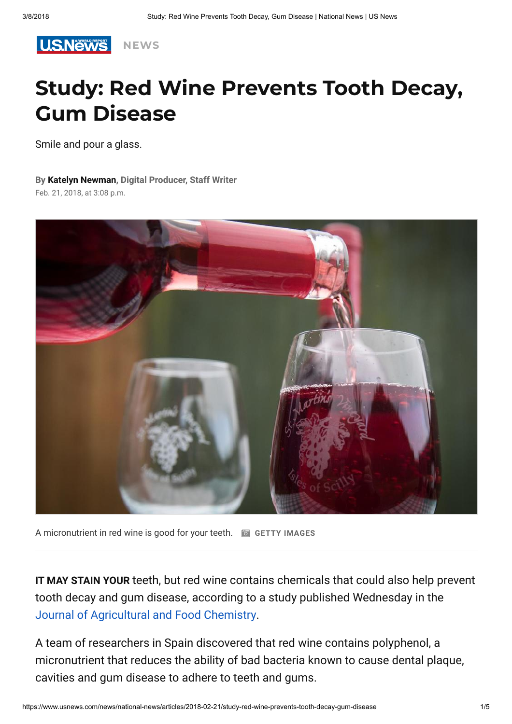

# Study: Red Wine Prevents Tooth Decay, Gum Disease

Smile and pour a glass.

#### By [Katelyn Newman](https://www.usnews.com/topics/author/katelyn-newman), Digital Producer, Staff Writer

Feb. 21, 2018, at 3:08 p.m.



A micronutrient in red wine is good for your teeth.  $\Box$  GETTY IMAGES

IT MAY STAIN YOUR teeth, but red wine contains chemicals that could also help prevent tooth decay and gum disease, according to a study published Wednesday in the [Journal of Agricultural and Food Chemistry.](https://pubs.acs.org/doi/full/10.1021/acs.jafc.7b05466)

A team of researchers in Spain discovered that red wine contains polyphenol, a micronutrient that reduces the ability of bad bacteria known to cause dental plaque, cavities and gum disease to adhere to teeth and gums.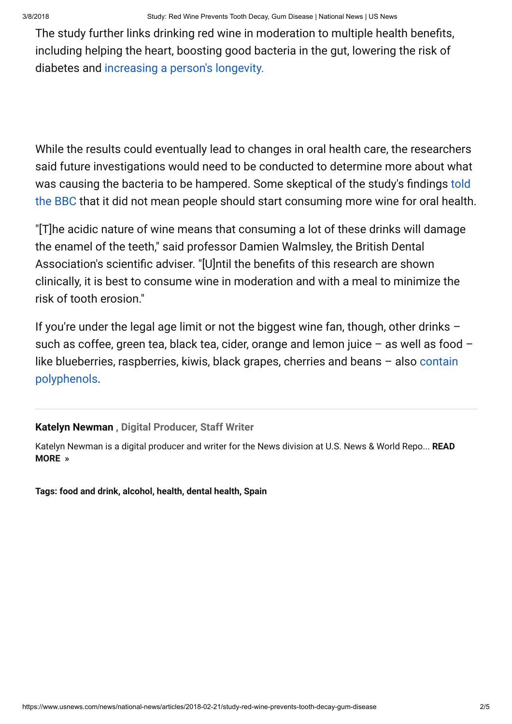The study further links drinking red wine in moderation to multiple health benefits, including helping the heart, boosting good bacteria in the gut, lowering the risk of diabetes and [increasing a person's longevity.](https://www.usnews.com/news/national-news/articles/2018-02-20/study-drinking-alcohol-more-important-than-exercise-to-living-past-90?src=usn_tw)

While the results could eventually lead to changes in oral health care, the researchers said future investigations would need to be conducted to determine more about what was causing the bacteria to be hampered. Some skeptical of the study's findings told [the BBC that it did not mean people should start consuming more wine for oral health](http://www.bbc.com/news/health-43126438).

"[T]he acidic nature of wine means that consuming a lot of these drinks will damage the enamel of the teeth," said professor Damien Walmsley, the British Dental Association's scientific adviser. "[U]ntil the benefits of this research are shown clinically, it is best to consume wine in moderation and with a meal to minimize the risk of tooth erosion."

If you're under the legal age limit or not the biggest wine fan, though, other drinks  $$ such as coffee, green tea, black tea, cider, orange and lemon juice  $-$  as well as food  $$ [like blueberries, raspberries, kiwis, black grapes, cherries and beans – also contain](https://academic.oup.com/ajcn/article/79/5/727/4690182) polyphenols.

### [Katelyn Newman ,](https://www.usnews.com/topics/author/katelyn-newman) Digital Producer, Staff Writer

Katelyn Newman is a digital producer and writer for the News division at U.S. News & World Repo... READ MORE »

Tags: [food and drink,](https://www.usnews.com/topics/subjects/food-and-drink) [alcohol](https://www.usnews.com/topics/subjects/alcohol), [health](https://www.usnews.com/topics/subjects/health), [dental health](https://www.usnews.com/topics/subjects/dental_health), [Spain](https://www.usnews.com/topics/locations/spain)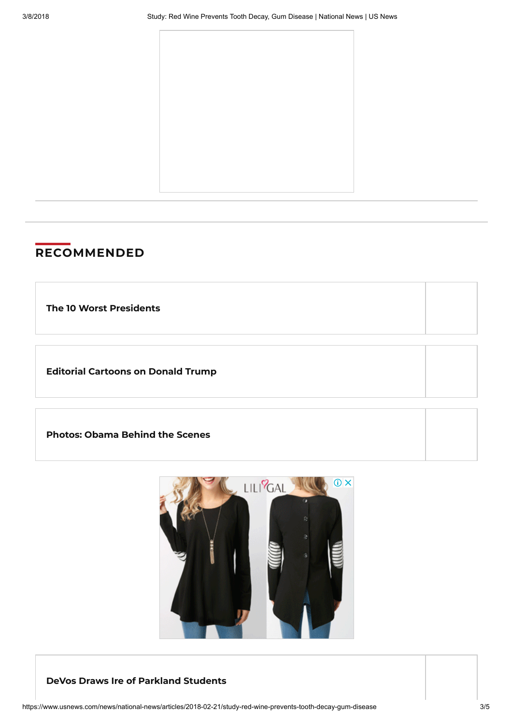

## **RECOMMENDED**

The 10 Worst [Presidents](https://www.usnews.com/news/special-reports/the-worst-presidents/slideshows/the-10-worst-presidents)

Editorial [Cartoons](https://www.usnews.com/cartoons/donald-trump-cartoons) on Donald Trump

[Photos:](https://www.usnews.com/photos/obama-behind-the-scenes) Obama Behind the Scenes



#### DeVos Draws Ire of Parkland [Students](https://www.usnews.com/news/education-news/articles/2018-03-07/devos-draws-ire-of-parkland-students)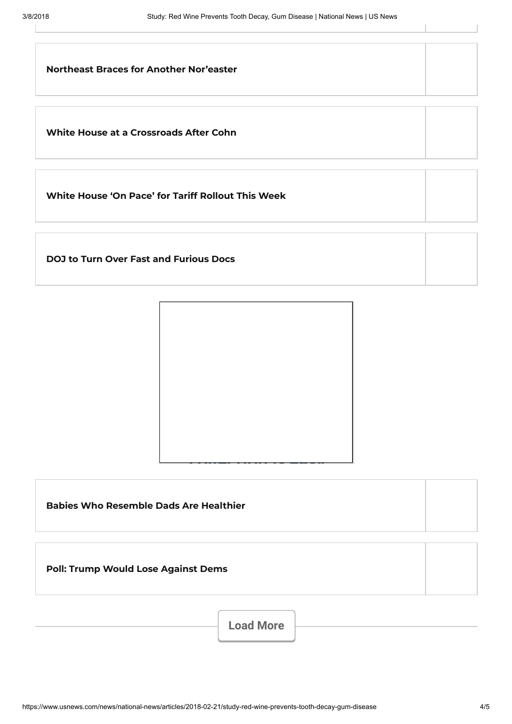$\perp$ 

| <b>Northeast Braces for Another Nor'easter</b> |  |
|------------------------------------------------|--|
| White House at a Crossroads After Cohn         |  |

White House 'On Pace' for Tariff [Rollout](https://www.usnews.com/news/politics/articles/2018-03-07/sanders-tariffs-announcement-still-coming-this-week) This Week

DOJ to Turn Over Fast and [Furious](https://www.usnews.com/news/national-news/articles/2018-03-07/doj-touting-transparency-to-turn-over-fast-and-furious-documents) Docs



Babies Who [Resemble](https://www.usnews.com/news/health-care-news/articles/2018-03-07/study-babies-who-resemble-fathers-are-healthier) Dads Are Healthier

Poll: Trump Would Lose [Against](https://www.usnews.com/news/politics/articles/2018-03-07/polls-shows-trump-losing-in-2020-to-generic-democratic-opponent) Dems

Load More